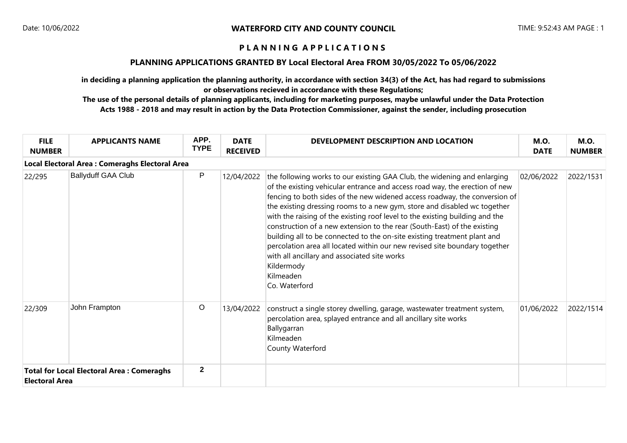### **PLANNING APPLICATIONS GRANTED BY Local Electoral Area FROM 30/05/2022 To 05/06/2022**

**in deciding a planning application the planning authority, in accordance with section 34(3) of the Act, has had regard to submissions or observations recieved in accordance with these Regulations;**

| <b>FILE</b><br><b>NUMBER</b> | <b>APPLICANTS NAME</b>                           | APP.<br><b>TYPE</b> | <b>DATE</b><br><b>RECEIVED</b> | DEVELOPMENT DESCRIPTION AND LOCATION                                                                                                                                                                                                                                                                                                                                                                                                                                                                                                                                                                                                                                                                                                | <b>M.O.</b><br><b>DATE</b> | <b>M.O.</b><br><b>NUMBER</b> |  |  |  |
|------------------------------|--------------------------------------------------|---------------------|--------------------------------|-------------------------------------------------------------------------------------------------------------------------------------------------------------------------------------------------------------------------------------------------------------------------------------------------------------------------------------------------------------------------------------------------------------------------------------------------------------------------------------------------------------------------------------------------------------------------------------------------------------------------------------------------------------------------------------------------------------------------------------|----------------------------|------------------------------|--|--|--|
|                              | Local Electoral Area : Comeraghs Electoral Area  |                     |                                |                                                                                                                                                                                                                                                                                                                                                                                                                                                                                                                                                                                                                                                                                                                                     |                            |                              |  |  |  |
| 22/295                       | <b>Ballyduff GAA Club</b>                        | P                   | 12/04/2022                     | the following works to our existing GAA Club, the widening and enlarging<br>of the existing vehicular entrance and access road way, the erection of new<br>fencing to both sides of the new widened access roadway, the conversion of<br>the existing dressing rooms to a new gym, store and disabled wc together<br>with the raising of the existing roof level to the existing building and the<br>construction of a new extension to the rear (South-East) of the existing<br>building all to be connected to the on-site existing treatment plant and<br>percolation area all located within our new revised site boundary together<br>with all ancillary and associated site works<br>Kildermody<br>Kilmeaden<br>Co. Waterford | 02/06/2022                 | 2022/1531                    |  |  |  |
| 22/309                       | John Frampton                                    | $\circ$             | 13/04/2022                     | construct a single storey dwelling, garage, wastewater treatment system,<br>percolation area, splayed entrance and all ancillary site works<br>Ballygarran<br>Kilmeaden<br>County Waterford                                                                                                                                                                                                                                                                                                                                                                                                                                                                                                                                         | 01/06/2022                 | 2022/1514                    |  |  |  |
| <b>Electoral Area</b>        | <b>Total for Local Electoral Area: Comeraghs</b> | $\mathbf{2}$        |                                |                                                                                                                                                                                                                                                                                                                                                                                                                                                                                                                                                                                                                                                                                                                                     |                            |                              |  |  |  |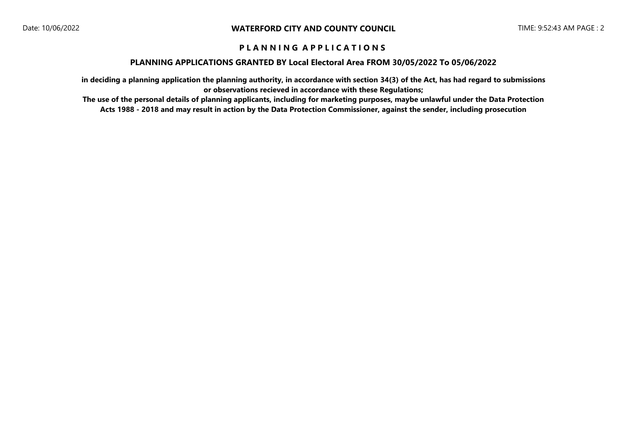### **PLANNING APPLICATIONS GRANTED BY Local Electoral Area FROM 30/05/2022 To 05/06/2022**

**in deciding a planning application the planning authority, in accordance with section 34(3) of the Act, has had regard to submissions or observations recieved in accordance with these Regulations;**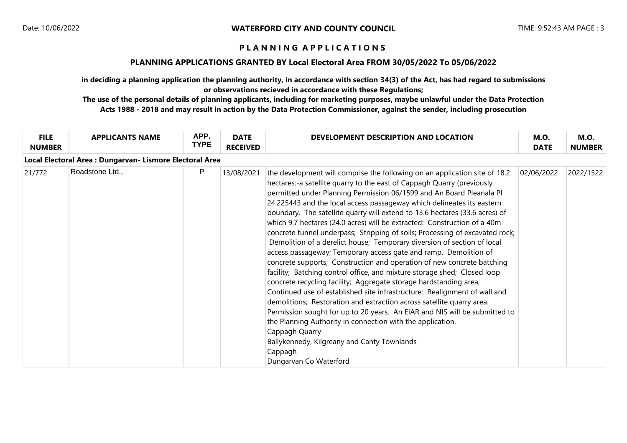### **PLANNING APPLICATIONS GRANTED BY Local Electoral Area FROM 30/05/2022 To 05/06/2022**

**in deciding a planning application the planning authority, in accordance with section 34(3) of the Act, has had regard to submissions or observations recieved in accordance with these Regulations;**

| <b>FILE</b><br><b>NUMBER</b>                             | <b>APPLICANTS NAME</b> | APP.<br><b>TYPE</b> | <b>DATE</b><br><b>RECEIVED</b> | DEVELOPMENT DESCRIPTION AND LOCATION                                                                                                                                                                                                                                                                                                                                                                                                                                                                                                                                                                                                                                                                                                                                                                                                                                                                                                                                                                                                                                                                                                                                                                                                                                                                                                | <b>M.O.</b><br><b>DATE</b> | <b>M.O.</b><br><b>NUMBER</b> |  |  |
|----------------------------------------------------------|------------------------|---------------------|--------------------------------|-------------------------------------------------------------------------------------------------------------------------------------------------------------------------------------------------------------------------------------------------------------------------------------------------------------------------------------------------------------------------------------------------------------------------------------------------------------------------------------------------------------------------------------------------------------------------------------------------------------------------------------------------------------------------------------------------------------------------------------------------------------------------------------------------------------------------------------------------------------------------------------------------------------------------------------------------------------------------------------------------------------------------------------------------------------------------------------------------------------------------------------------------------------------------------------------------------------------------------------------------------------------------------------------------------------------------------------|----------------------------|------------------------------|--|--|
| Local Electoral Area : Dungarvan- Lismore Electoral Area |                        |                     |                                |                                                                                                                                                                                                                                                                                                                                                                                                                                                                                                                                                                                                                                                                                                                                                                                                                                                                                                                                                                                                                                                                                                                                                                                                                                                                                                                                     |                            |                              |  |  |
| 21/772                                                   | Roadstone Ltd.,        | P                   | 13/08/2021                     | the development will comprise the following on an application site of 18.2<br>hectares:-a satellite quarry to the east of Cappagh Quarry (previously<br>permitted under Planning Permission 06/1599 and An Board Pleanala Pl<br>24.225443 and the local access passageway which delineates its eastern<br>boundary. The satellite quarry will extend to 13.6 hectares (33.6 acres) of<br>which 9.7 hectares (24.0 acres) will be extracted: Construction of a 40m<br>concrete tunnel underpass; Stripping of soils; Processing of excavated rock;<br>Demolition of a derelict house; Temporary diversion of section of local<br>access passageway; Temporary access gate and ramp. Demolition of<br>concrete supports; Construction and operation of new concrete batching<br>facility; Batching control office, and mixture storage shed; Closed loop<br>concrete recycling facility; Aggregate storage hardstanding area;<br>Continued use of established site infrastructure: Realignment of wall and<br>demolitions; Restoration and extraction across satellite quarry area.<br>Permission sought for up to 20 years. An EIAR and NIS will be submitted to<br>the Planning Authority in connection with the application.<br>Cappagh Quarry<br>Ballykennedy, Kilgreany and Canty Townlands<br>Cappagh<br>Dungarvan Co Waterford | 02/06/2022                 | 2022/1522                    |  |  |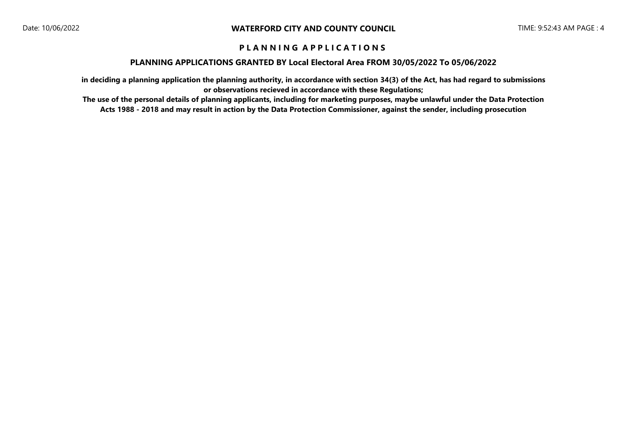### **PLANNING APPLICATIONS GRANTED BY Local Electoral Area FROM 30/05/2022 To 05/06/2022**

**in deciding a planning application the planning authority, in accordance with section 34(3) of the Act, has had regard to submissions or observations recieved in accordance with these Regulations;**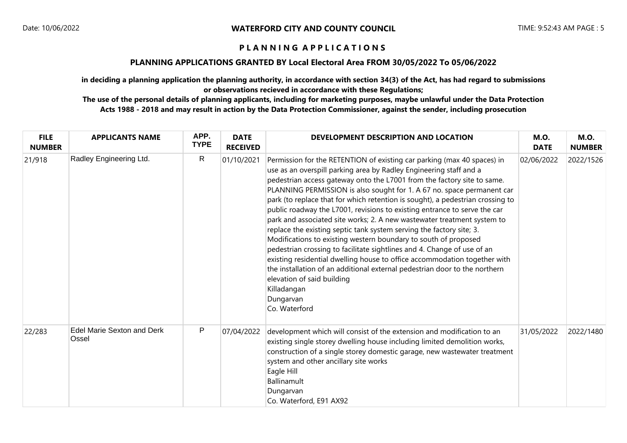### **PLANNING APPLICATIONS GRANTED BY Local Electoral Area FROM 30/05/2022 To 05/06/2022**

**in deciding a planning application the planning authority, in accordance with section 34(3) of the Act, has had regard to submissions or observations recieved in accordance with these Regulations;**

| <b>FILE</b><br><b>NUMBER</b> | <b>APPLICANTS NAME</b>                     | APP.<br><b>TYPE</b> | <b>DATE</b><br><b>RECEIVED</b> | DEVELOPMENT DESCRIPTION AND LOCATION                                                                                                                                                                                                                                                                                                                                                                                                                                                                                                                                                                                                                                                                                                                                                                                                                                                                                                                                                                     | <b>M.O.</b><br><b>DATE</b> | <b>M.O.</b><br><b>NUMBER</b> |
|------------------------------|--------------------------------------------|---------------------|--------------------------------|----------------------------------------------------------------------------------------------------------------------------------------------------------------------------------------------------------------------------------------------------------------------------------------------------------------------------------------------------------------------------------------------------------------------------------------------------------------------------------------------------------------------------------------------------------------------------------------------------------------------------------------------------------------------------------------------------------------------------------------------------------------------------------------------------------------------------------------------------------------------------------------------------------------------------------------------------------------------------------------------------------|----------------------------|------------------------------|
| 21/918                       | Radley Engineering Ltd.                    | R                   | 01/10/2021                     | Permission for the RETENTION of existing car parking (max 40 spaces) in<br>use as an overspill parking area by Radley Engineering staff and a<br>pedestrian access gateway onto the L7001 from the factory site to same.<br>PLANNING PERMISSION is also sought for 1. A 67 no. space permanent car<br>park (to replace that for which retention is sought), a pedestrian crossing to<br>public roadway the L7001, revisions to existing entrance to serve the car<br>park and associated site works; 2. A new wastewater treatment system to<br>replace the existing septic tank system serving the factory site; 3.<br>Modifications to existing western boundary to south of proposed<br>pedestrian crossing to facilitate sightlines and 4. Change of use of an<br>existing residential dwelling house to office accommodation together with<br>the installation of an additional external pedestrian door to the northern<br>elevation of said building<br>Killadangan<br>Dungarvan<br>Co. Waterford | 02/06/2022                 | 2022/1526                    |
| 22/283                       | <b>Edel Marie Sexton and Derk</b><br>Ossel | P                   | 07/04/2022                     | development which will consist of the extension and modification to an<br>existing single storey dwelling house including limited demolition works,<br>construction of a single storey domestic garage, new wastewater treatment<br>system and other ancillary site works<br>Eagle Hill<br>Ballinamult<br>Dungarvan<br>Co. Waterford, E91 AX92                                                                                                                                                                                                                                                                                                                                                                                                                                                                                                                                                                                                                                                           | 31/05/2022                 | 2022/1480                    |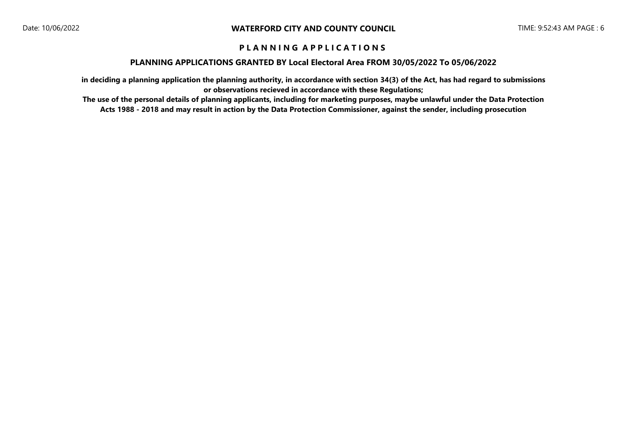### **PLANNING APPLICATIONS GRANTED BY Local Electoral Area FROM 30/05/2022 To 05/06/2022**

**in deciding a planning application the planning authority, in accordance with section 34(3) of the Act, has had regard to submissions or observations recieved in accordance with these Regulations;**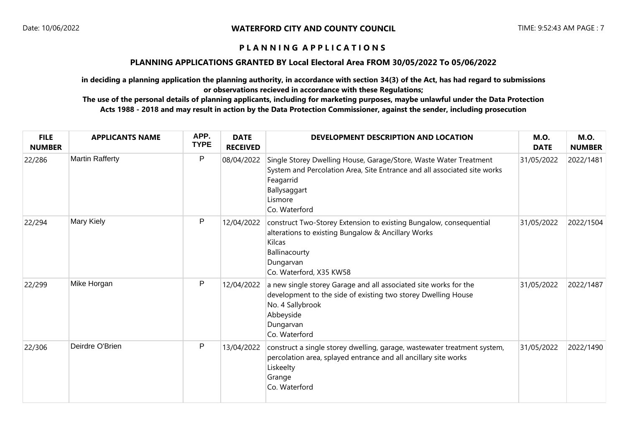### **PLANNING APPLICATIONS GRANTED BY Local Electoral Area FROM 30/05/2022 To 05/06/2022**

**in deciding a planning application the planning authority, in accordance with section 34(3) of the Act, has had regard to submissions or observations recieved in accordance with these Regulations;**

| <b>FILE</b><br><b>NUMBER</b> | <b>APPLICANTS NAME</b> | APP.<br><b>TYPE</b> | <b>DATE</b><br><b>RECEIVED</b> | DEVELOPMENT DESCRIPTION AND LOCATION                                                                                                                                                                   | <b>M.O.</b><br><b>DATE</b> | <b>M.O.</b><br><b>NUMBER</b> |
|------------------------------|------------------------|---------------------|--------------------------------|--------------------------------------------------------------------------------------------------------------------------------------------------------------------------------------------------------|----------------------------|------------------------------|
| 22/286                       | <b>Martin Rafferty</b> | P                   | 08/04/2022                     | Single Storey Dwelling House, Garage/Store, Waste Water Treatment<br>System and Percolation Area, Site Entrance and all associated site works<br>Feagarrid<br>Ballysaggart<br>Lismore<br>Co. Waterford | 31/05/2022                 | 2022/1481                    |
| 22/294                       | Mary Kiely             | P                   | 12/04/2022                     | construct Two-Storey Extension to existing Bungalow, consequential<br>alterations to existing Bungalow & Ancillary Works<br>Kilcas<br>Ballinacourty<br>Dungarvan<br>Co. Waterford, X35 KW58            | 31/05/2022                 | 2022/1504                    |
| 22/299                       | Mike Horgan            | P                   | 12/04/2022                     | a new single storey Garage and all associated site works for the<br>development to the side of existing two storey Dwelling House<br>No. 4 Sallybrook<br>Abbeyside<br>Dungarvan<br>Co. Waterford       | 31/05/2022                 | 2022/1487                    |
| 22/306                       | Deirdre O'Brien        | P                   | 13/04/2022                     | construct a single storey dwelling, garage, wastewater treatment system,<br>percolation area, splayed entrance and all ancillary site works<br>Liskeelty<br>Grange<br>Co. Waterford                    | 31/05/2022                 | 2022/1490                    |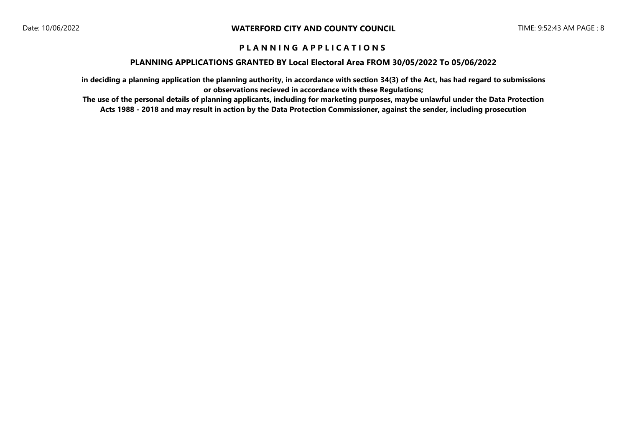### **PLANNING APPLICATIONS GRANTED BY Local Electoral Area FROM 30/05/2022 To 05/06/2022**

**in deciding a planning application the planning authority, in accordance with section 34(3) of the Act, has had regard to submissions or observations recieved in accordance with these Regulations;**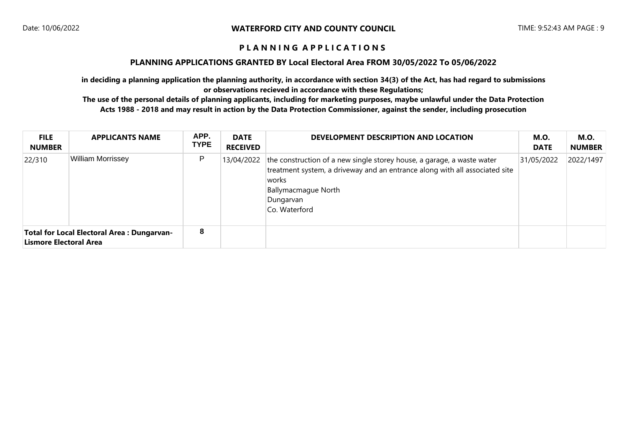### **PLANNING APPLICATIONS GRANTED BY Local Electoral Area FROM 30/05/2022 To 05/06/2022**

**in deciding a planning application the planning authority, in accordance with section 34(3) of the Act, has had regard to submissions or observations recieved in accordance with these Regulations;**

| <b>FILE</b><br><b>NUMBER</b> | <b>APPLICANTS NAME</b>                            | APP.<br><b>TYPE</b> | <b>DATE</b><br><b>RECEIVED</b> | DEVELOPMENT DESCRIPTION AND LOCATION                                                                                                                                                                                                      | <b>M.O.</b><br><b>DATE</b> | <b>M.O.</b><br><b>NUMBER</b> |
|------------------------------|---------------------------------------------------|---------------------|--------------------------------|-------------------------------------------------------------------------------------------------------------------------------------------------------------------------------------------------------------------------------------------|----------------------------|------------------------------|
| 22/310                       | <b>William Morrissey</b>                          | P                   |                                | 13/04/2022   the construction of a new single storey house, a garage, a waste water<br>treatment system, a driveway and an entrance along with all associated site<br> works <br><b>Ballymacmague North</b><br>Dungarvan<br>Co. Waterford | 31/05/2022                 | 2022/1497                    |
| Lismore Electoral Area       | <b>Total for Local Electoral Area: Dungarvan-</b> | 8                   |                                |                                                                                                                                                                                                                                           |                            |                              |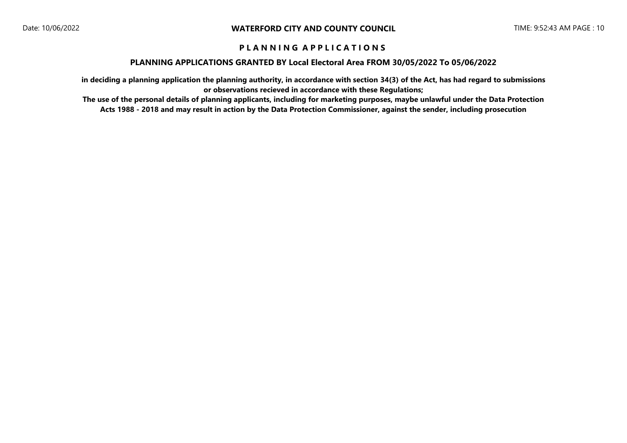### **PLANNING APPLICATIONS GRANTED BY Local Electoral Area FROM 30/05/2022 To 05/06/2022**

**in deciding a planning application the planning authority, in accordance with section 34(3) of the Act, has had regard to submissions or observations recieved in accordance with these Regulations;**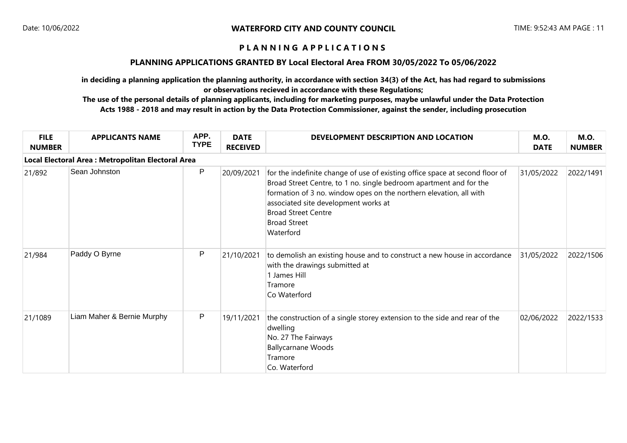### **PLANNING APPLICATIONS GRANTED BY Local Electoral Area FROM 30/05/2022 To 05/06/2022**

**in deciding a planning application the planning authority, in accordance with section 34(3) of the Act, has had regard to submissions or observations recieved in accordance with these Regulations;**

| <b>FILE</b><br><b>NUMBER</b>                       | <b>APPLICANTS NAME</b>     | APP.<br><b>TYPE</b> | <b>DATE</b><br><b>RECEIVED</b> | DEVELOPMENT DESCRIPTION AND LOCATION                                                                                                                                                                                                                                                                                               | <b>M.O.</b><br><b>DATE</b> | <b>M.O.</b><br><b>NUMBER</b> |  |  |  |
|----------------------------------------------------|----------------------------|---------------------|--------------------------------|------------------------------------------------------------------------------------------------------------------------------------------------------------------------------------------------------------------------------------------------------------------------------------------------------------------------------------|----------------------------|------------------------------|--|--|--|
| Local Electoral Area : Metropolitan Electoral Area |                            |                     |                                |                                                                                                                                                                                                                                                                                                                                    |                            |                              |  |  |  |
| 21/892                                             | Sean Johnston              | P                   | 20/09/2021                     | for the indefinite change of use of existing office space at second floor of<br>Broad Street Centre, to 1 no. single bedroom apartment and for the<br>formation of 3 no. window opes on the northern elevation, all with<br>associated site development works at<br><b>Broad Street Centre</b><br><b>Broad Street</b><br>Waterford | 31/05/2022                 | 2022/1491                    |  |  |  |
| 21/984                                             | Paddy O Byrne              | P                   | 21/10/2021                     | to demolish an existing house and to construct a new house in accordance<br>with the drawings submitted at<br>1 James Hill<br>Tramore<br>Co Waterford                                                                                                                                                                              | 31/05/2022                 | 2022/1506                    |  |  |  |
| 21/1089                                            | Liam Maher & Bernie Murphy | P                   | 19/11/2021                     | the construction of a single storey extension to the side and rear of the<br>dwelling<br>No. 27 The Fairways<br><b>Ballycarnane Woods</b><br>Tramore<br>Co. Waterford                                                                                                                                                              | 02/06/2022                 | 2022/1533                    |  |  |  |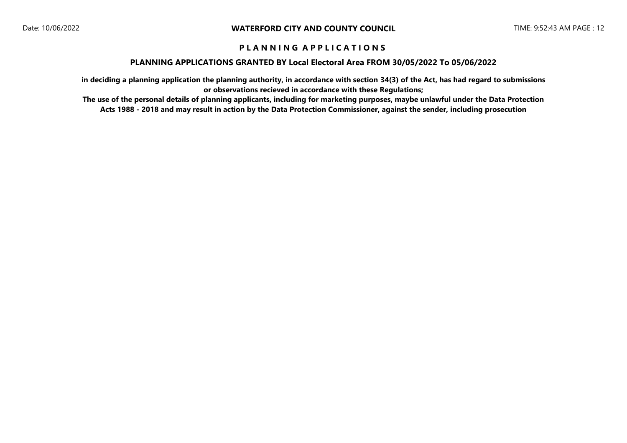### **PLANNING APPLICATIONS GRANTED BY Local Electoral Area FROM 30/05/2022 To 05/06/2022**

**in deciding a planning application the planning authority, in accordance with section 34(3) of the Act, has had regard to submissions or observations recieved in accordance with these Regulations;**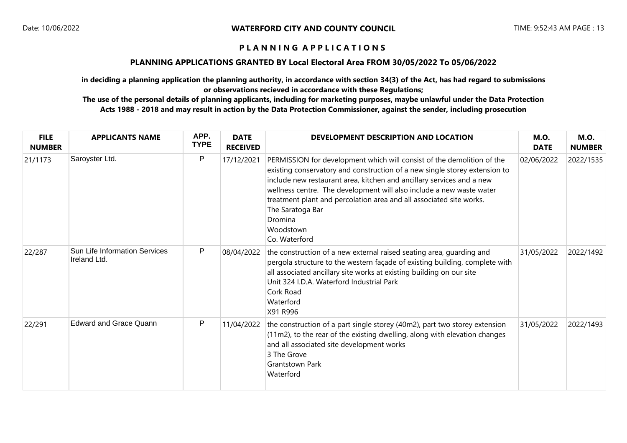### **PLANNING APPLICATIONS GRANTED BY Local Electoral Area FROM 30/05/2022 To 05/06/2022**

**in deciding a planning application the planning authority, in accordance with section 34(3) of the Act, has had regard to submissions or observations recieved in accordance with these Regulations;**

| <b>FILE</b><br><b>NUMBER</b> | <b>APPLICANTS NAME</b>                               | APP.<br><b>TYPE</b> | <b>DATE</b><br><b>RECEIVED</b> | DEVELOPMENT DESCRIPTION AND LOCATION                                                                                                                                                                                                                                                                                                                                                                                                      | <b>M.O.</b><br><b>DATE</b> | <b>M.O.</b><br><b>NUMBER</b> |
|------------------------------|------------------------------------------------------|---------------------|--------------------------------|-------------------------------------------------------------------------------------------------------------------------------------------------------------------------------------------------------------------------------------------------------------------------------------------------------------------------------------------------------------------------------------------------------------------------------------------|----------------------------|------------------------------|
| 21/1173                      | Saroyster Ltd.                                       | P                   | 17/12/2021                     | PERMISSION for development which will consist of the demolition of the<br>existing conservatory and construction of a new single storey extension to<br>include new restaurant area, kitchen and ancillary services and a new<br>wellness centre. The development will also include a new waste water<br>treatment plant and percolation area and all associated site works.<br>The Saratoga Bar<br>Dromina<br>Woodstown<br>Co. Waterford | 02/06/2022                 | 2022/1535                    |
| 22/287                       | <b>Sun Life Information Services</b><br>Ireland Ltd. | P                   | 08/04/2022                     | the construction of a new external raised seating area, guarding and<br>pergola structure to the western façade of existing building, complete with<br>all associated ancillary site works at existing building on our site<br>Unit 324 I.D.A. Waterford Industrial Park<br>Cork Road<br>Waterford<br>X91 R996                                                                                                                            | 31/05/2022                 | 2022/1492                    |
| 22/291                       | <b>Edward and Grace Quann</b>                        | P                   | 11/04/2022                     | the construction of a part single storey (40m2), part two storey extension<br>(11m2), to the rear of the existing dwelling, along with elevation changes<br>and all associated site development works<br>3 The Grove<br><b>Grantstown Park</b><br>Waterford                                                                                                                                                                               | 31/05/2022                 | 2022/1493                    |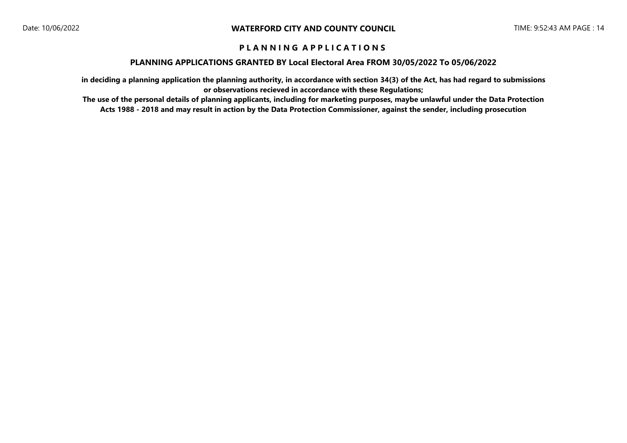#### **PLANNING APPLICATIONS GRANTED BY Local Electoral Area FROM 30/05/2022 To 05/06/2022**

**in deciding a planning application the planning authority, in accordance with section 34(3) of the Act, has had regard to submissions or observations recieved in accordance with these Regulations;**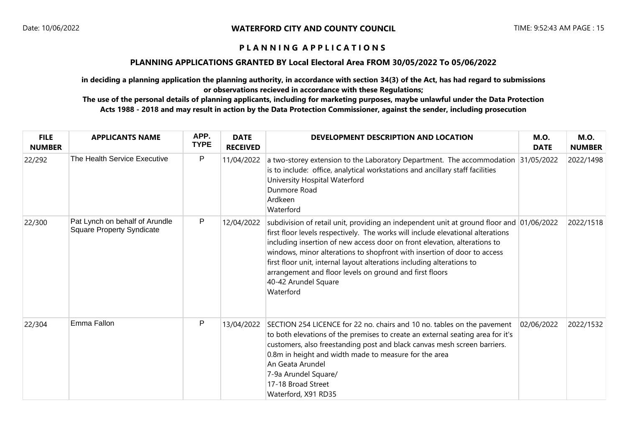### **PLANNING APPLICATIONS GRANTED BY Local Electoral Area FROM 30/05/2022 To 05/06/2022**

**in deciding a planning application the planning authority, in accordance with section 34(3) of the Act, has had regard to submissions or observations recieved in accordance with these Regulations;**

| <b>FILE</b><br><b>NUMBER</b> | <b>APPLICANTS NAME</b>                                             | APP.<br><b>TYPE</b> | <b>DATE</b><br><b>RECEIVED</b> | DEVELOPMENT DESCRIPTION AND LOCATION                                                                                                                                                                                                                                                                                                                                                                                                                                                                           | <b>M.O.</b><br><b>DATE</b> | <b>M.O.</b><br><b>NUMBER</b> |
|------------------------------|--------------------------------------------------------------------|---------------------|--------------------------------|----------------------------------------------------------------------------------------------------------------------------------------------------------------------------------------------------------------------------------------------------------------------------------------------------------------------------------------------------------------------------------------------------------------------------------------------------------------------------------------------------------------|----------------------------|------------------------------|
| 22/292                       | The Health Service Executive                                       | P                   | 11/04/2022                     | a two-storey extension to the Laboratory Department. The accommodation<br>is to include: office, analytical workstations and ancillary staff facilities<br>University Hospital Waterford<br>Dunmore Road<br>Ardkeen<br>Waterford                                                                                                                                                                                                                                                                               | 31/05/2022                 | 2022/1498                    |
| 22/300                       | Pat Lynch on behalf of Arundle<br><b>Square Property Syndicate</b> | P                   | 12/04/2022                     | subdivision of retail unit, providing an independent unit at ground floor and 01/06/2022<br>first floor levels respectively. The works will include elevational alterations<br>including insertion of new access door on front elevation, alterations to<br>windows, minor alterations to shopfront with insertion of door to access<br>first floor unit, internal layout alterations including alterations to<br>arrangement and floor levels on ground and first floors<br>40-42 Arundel Square<br>Waterford |                            | 2022/1518                    |
| 22/304                       | Emma Fallon                                                        | P                   | 13/04/2022                     | SECTION 254 LICENCE for 22 no. chairs and 10 no. tables on the pavement<br>to both elevations of the premises to create an external seating area for it's<br>customers, also freestanding post and black canvas mesh screen barriers.<br>0.8m in height and width made to measure for the area<br>An Geata Arundel<br>7-9a Arundel Square/<br>17-18 Broad Street<br>Waterford, X91 RD35                                                                                                                        | 02/06/2022                 | 2022/1532                    |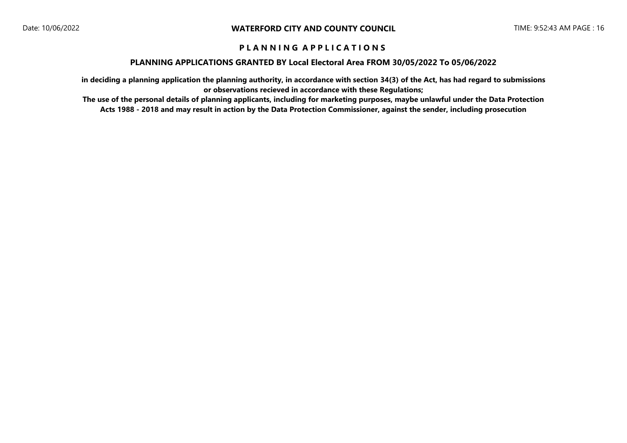### **PLANNING APPLICATIONS GRANTED BY Local Electoral Area FROM 30/05/2022 To 05/06/2022**

**in deciding a planning application the planning authority, in accordance with section 34(3) of the Act, has had regard to submissions or observations recieved in accordance with these Regulations;**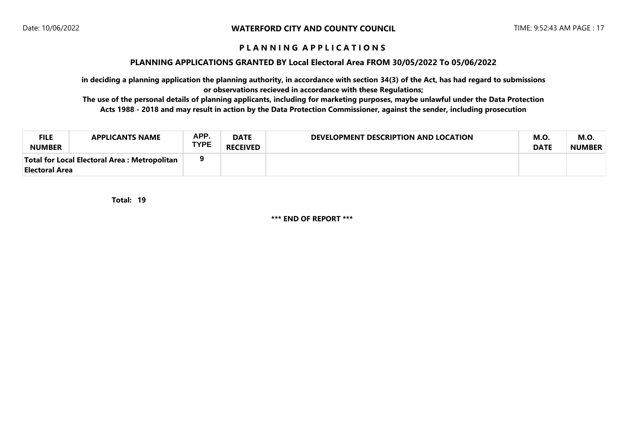#### **PLANNING APPLICATIONS GRANTED BY Local Electoral Area FROM 30/05/2022 To 05/06/2022**

**in deciding a planning application the planning authority, in accordance with section 34(3) of the Act, has had regard to submissions or observations recieved in accordance with these Regulations;**

**The use of the personal details of planning applicants, including for marketing purposes, maybe unlawful under the Data Protection Acts 1988 - 2018 and may result in action by the Data Protection Commissioner, against the sender, including prosecution**

| <b>FILE</b><br><b>NUMBER</b>                                    | <b>APPLICANTS NAME</b> | APP.<br><b>TYPE</b> | <b>DATE</b><br><b>RECEIVED</b> | DEVELOPMENT DESCRIPTION AND LOCATION | <b>M.O.</b><br><b>DATE</b> | M.O<br><b>NUMBER</b> |
|-----------------------------------------------------------------|------------------------|---------------------|--------------------------------|--------------------------------------|----------------------------|----------------------|
| Total for Local Electoral Area : Metropolitan<br>Electoral Area |                        |                     |                                |                                      |                            |                      |

**19 Total:** 

**\*\*\* END OF REPORT \*\*\***